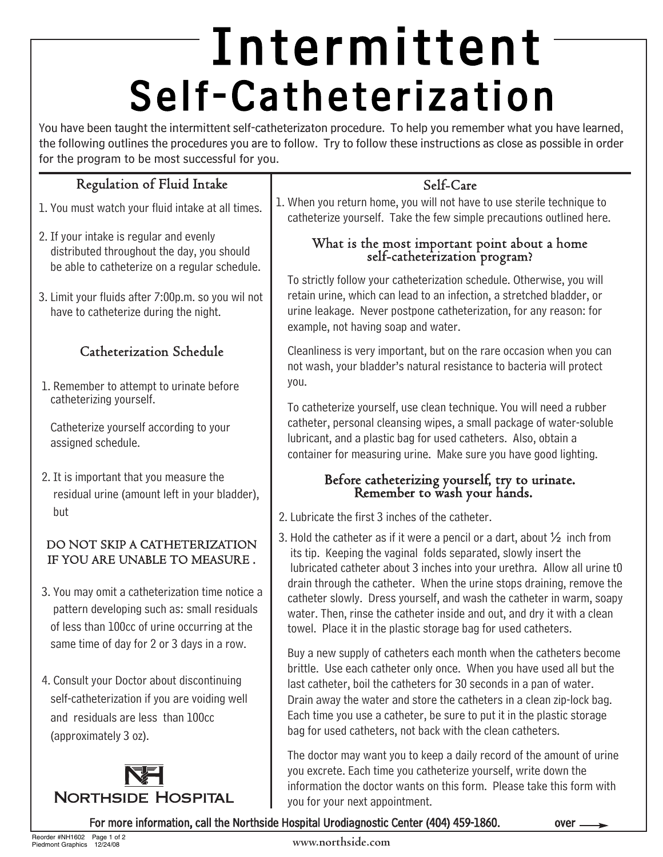# Intermittent Self-Catheterization

You have been taught the intermittent self-catheterizaton procedure. To help you remember what you have learned, the following outlines the procedures you are to follow. Try to follow these instructions as close as possible in order for the program to be most successful for you.

### Regulation of Fluid Intake

- 1. You must watch your fluid intake at all times.
- 2. If your intake is regular and evenly distributed throughout the day, you should be able to catheterize on a regular schedule.
- 3. Limit your fluids after 7:00p.m. so you wil not have to catheterize during the night.

### Catheterization Schedule

1. Remember to attempt to urinate before catheterizing yourself.

Catheterize yourself according to your assigned schedule.

2. It is important that you measure the residual urine (amount left in your bladder), but

### DO NOT SKIP A CATHETERIZATION IF YOU ARE UNABLE TO MEASURE .

- 3. You may omit a catheterization time notice a pattern developing such as: small residuals of less than 100cc of urine occurring at the same time of day for 2 or 3 days in a row.
- 4. Consult your Doctor about discontinuing self-catheterization if you are voiding well and residuals are less than 100cc (approximately 3 oz).



### Self-Care

1. When you return home, you will not have to use sterile technique to catheterize yourself. Take the few simple precautions outlined here.

### What is the most important point about a home self-catheterization program?

To strictly follow your catheterization schedule. Otherwise, you will retain urine, which can lead to an infection, a stretched bladder, or urine leakage. Never postpone catheterization, for any reason: for example, not having soap and water.

Cleanliness is very important, but on the rare occasion when you can not wash, your bladder's natural resistance to bacteria will protect you.

To catheterize yourself, use clean technique. You will need a rubber catheter, personal cleansing wipes, a small package of water-soluble lubricant, and a plastic bag for used catheters. Also, obtain a container for measuring urine. Make sure you have good lighting.

## Before catheterizing yourself, try to urinate. Remember to wash your hands.

- 2. Lubricate the first 3 inches of the catheter.
- 3. Hold the catheter as if it were a pencil or a dart, about  $\frac{1}{2}$  inch from its tip. Keeping the vaginal folds separated, slowly insert the lubricated catheter about 3 inches into your urethra. Allow all urine t0 drain through the catheter. When the urine stops draining, remove the catheter slowly. Dress yourself, and wash the catheter in warm, soapy water. Then, rinse the catheter inside and out, and dry it with a clean towel. Place it in the plastic storage bag for used catheters.

Buy a new supply of catheters each month when the catheters become brittle. Use each catheter only once. When you have used all but the last catheter, boil the catheters for 30 seconds in a pan of water. Drain away the water and store the catheters in a clean zip-lock bag. Each time you use a catheter, be sure to put it in the plastic storage bag for used catheters, not back with the clean catheters.

The doctor may want you to keep a daily record of the amount of urine you excrete. Each time you catheterize yourself, write down the information the doctor wants on this form. Please take this form with you for your next appointment.

#### For more information, call the Northside Hospital Urodiagnostic Center (404) 459-1860.

#### **www.northside.com**

over.